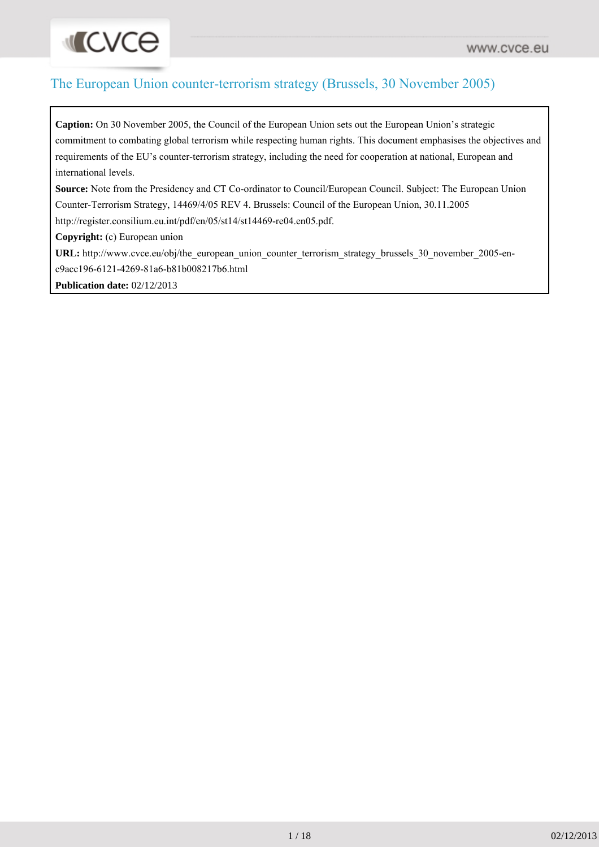### The European Union counter-terrorism strategy (Brussels, 30 November 2005)

**Caption:** On 30 November 2005, the Council of the European Union sets out the European Union's strategic commitment to combating global terrorism while respecting human rights. This document emphasises the objectives and requirements of the EU's counter-terrorism strategy, including the need for cooperation at national, European and international levels.

**Source:** Note from the Presidency and CT Co-ordinator to Council/European Council. Subject: The European Union Counter-Terrorism Strategy, 14469/4/05 REV 4. Brussels: Council of the European Union, 30.11.2005 http://register.consilium.eu.int/pdf/en/05/st14/st14469-re04.en05.pdf.

**Copyright:** (c) European union

**INCACE** 

URL: http://www.cvce.eu/obj/the\_european\_union\_counter\_terrorism\_strategy\_brussels\_30\_november\_2005-enc9acc196-6121-4269-81a6-b81b008217b6.html

**Publication date:** 02/12/2013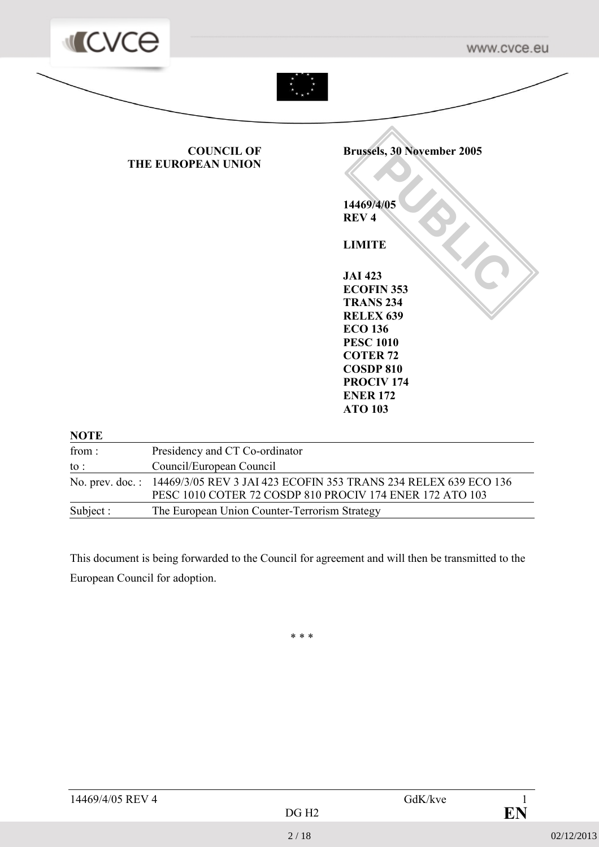

| Subject : | The European Union Counter-Terrorism Strategy                                                                                               |
|-----------|---------------------------------------------------------------------------------------------------------------------------------------------|
|           | No. prev. doc.: 14469/3/05 REV 3 JAI 423 ECOFIN 353 TRANS 234 RELEX 639 ECO 136<br>PESC 1010 COTER 72 COSDP 810 PROCIV 174 ENER 172 ATO 103 |
| to :      | Council/European Council                                                                                                                    |
| from:     | Presidency and CT Co-ordinator                                                                                                              |

This document is being forwarded to the Council for agreement and will then be transmitted to the European Council for adoption.

\* \* \*

| 14469/4/05 REV 4 |       | GdK/kve |    |
|------------------|-------|---------|----|
|                  | DG H2 |         | FN |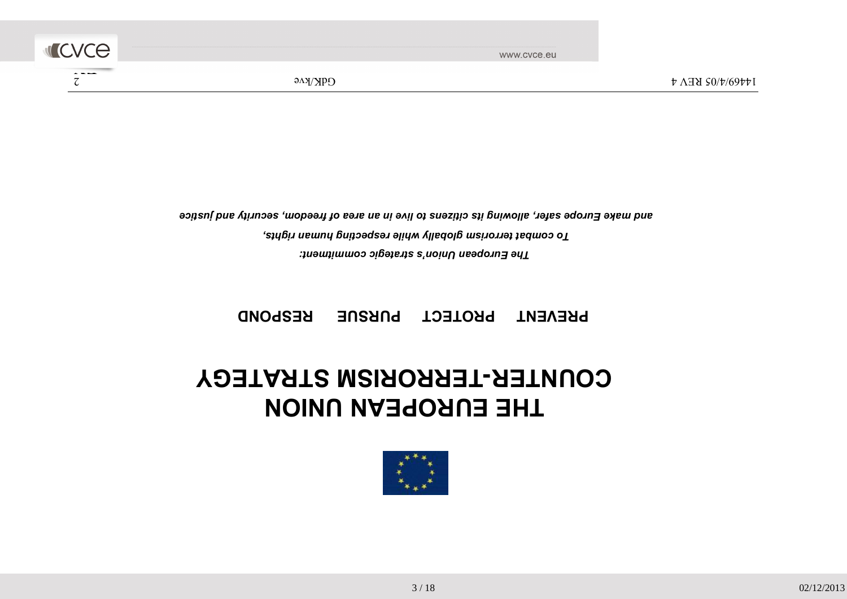

### THE EUROPEAN UNION COUNTER-TERRORISM STRATEGY

PREVENT PROTECT PURSUE RESPOND

The European Union's strategic commitment: To combat terrorism globally while respecting human rights, and make Europe safer, allowing its citizens to live in an area of freedom, security and justice

**ILCVCe** En de la construction de la construction de la construction de la construction de la construction de la construction de la construction de la construction de la construction de la construction de la construction de la cons

www.cvce.eu

 $\frac{2}{\pi}$  14469/4/05 REV 4 GdK/kve 6 GdK/kve 6 GdK/kve 6 GdK/kve 6 GdK/kve 6 GdK/kve 6 GdK/kve 6 GdK/kve 6 GdK/kve 6 GdK/kve 6 GdK/kve 6 GdK/kve 6 GdK/kve 6 GdK/kve 6 GdK/kve 6 GdK/kve 6 GdK/kve 6 GdK/kve 6 GdK/kve 6 GdK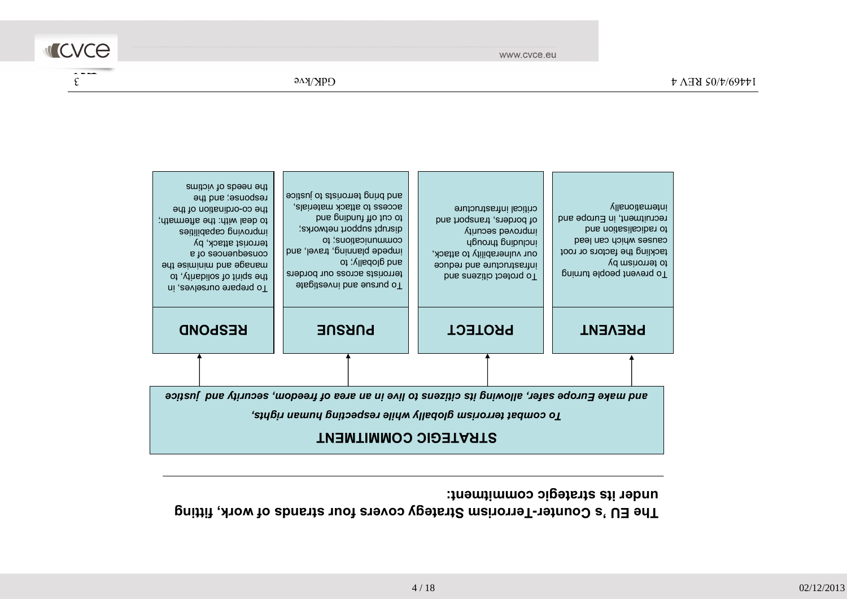### The EU 's Counter-Terrorism Strategy covers four strands of work, fitting under its strategic commitment:



www.cvce.eu

**ILCVCE** En de la construction de la construction de la construction de la construction de la construction de la construction de la construction de la construction de la construction de la construction de la construction de la cons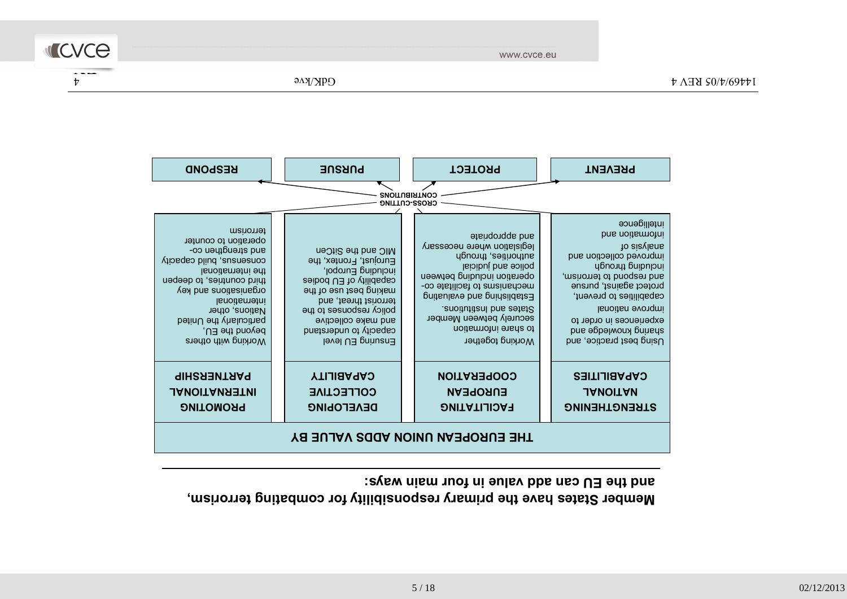www.cvce.eu

4 14469/4/05 REV 4 GdK/kve



| <b>RESPOND</b>                                                                                                                                                                                                                                                           | <b>PURSUE</b>                                                                                                                                                                                                                                    | <b>PROTECT</b>                                                                                                                                                                                                                                                                                | <b>PREVENT</b>                                                                                                                                                                                                                                                                      |  |  |
|--------------------------------------------------------------------------------------------------------------------------------------------------------------------------------------------------------------------------------------------------------------------------|--------------------------------------------------------------------------------------------------------------------------------------------------------------------------------------------------------------------------------------------------|-----------------------------------------------------------------------------------------------------------------------------------------------------------------------------------------------------------------------------------------------------------------------------------------------|-------------------------------------------------------------------------------------------------------------------------------------------------------------------------------------------------------------------------------------------------------------------------------------|--|--|
|                                                                                                                                                                                                                                                                          |                                                                                                                                                                                                                                                  | <b>CONTRIBUTIONS</b><br><b>CROSS-CUTTING</b>                                                                                                                                                                                                                                                  |                                                                                                                                                                                                                                                                                     |  |  |
| ferronsm<br>nefation to counter<br>auq zucudtpo co-<br>consensus, build capacity<br>Isnoitsmathi adt<br>third countries, to deepen<br>yex bns anoitsainspro<br>lanoitematri<br>Nations, other<br>particularly the United<br>beyond the EU,<br><b>Working with others</b> | MIC and the SitCen<br>Eurojust, Frontex, the<br>jodoun∃ puibulol,<br>capability of EU bodies<br>making bezt use of the<br>terrorist threat, and<br>policy responses to the<br>and make collective<br>capacity to understand<br>level U∃ prinusn∃ | and appropriate<br>legislation where necessary<br>authorities, through<br>laioibui bna soiloq<br>netation including between<br>mechanisms to facilitate co-<br>Establishing and evaluating<br>snoitutitisni bns estst?<br>securely between Member<br>to share information<br>Working together | intelligence<br>bns noitemotni<br>to sisylens<br>bns noitoelloo bevongmi<br>upuong puipuong<br>and respond to terrorism,<br>protect against, pursue<br>capabilities to prevent,<br>lsnoitsn evongmi<br>experiences in order to<br>sharing knowledge and<br>Using best practice, and |  |  |
| <b>PARTNERSHIP</b><br><b>JANOITANRETNI</b><br><b>PROMOTING</b>                                                                                                                                                                                                           | <b>CAPABILITY</b><br><b>COLLECTIVE</b><br><b>DEAEFOBING</b>                                                                                                                                                                                      | <b>COOPERATION</b><br><b>EUROPEAN</b><br><b>PACILITATING</b>                                                                                                                                                                                                                                  | <b>CAPABILITIES</b><br><b>JANOITAN</b><br>STRENGIHENING                                                                                                                                                                                                                             |  |  |
|                                                                                                                                                                                                                                                                          | THE EUROPEAN UNION ADDS VALUE BY                                                                                                                                                                                                                 |                                                                                                                                                                                                                                                                                               |                                                                                                                                                                                                                                                                                     |  |  |

Member States have the primary responsibility for combating terrorism,

and the EU can add value in four main ways: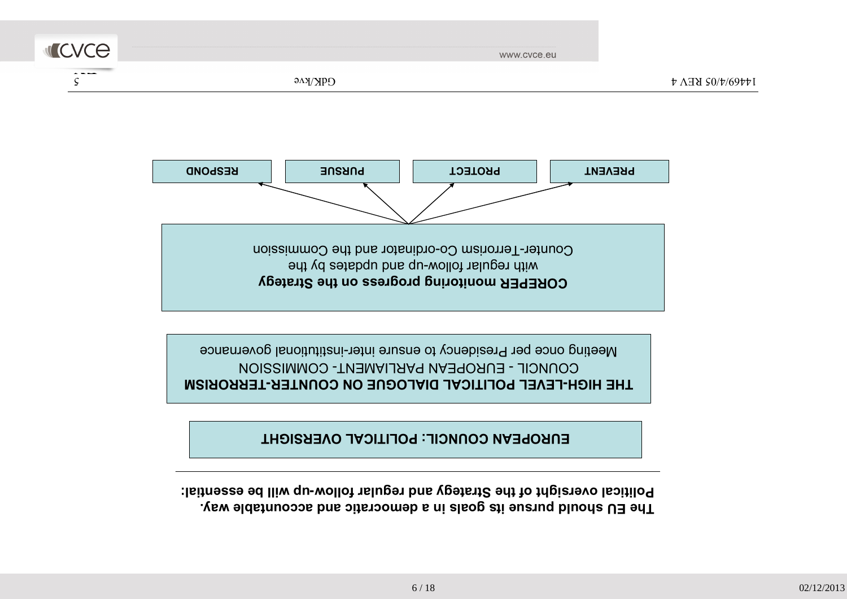The EU should pursue its goals in a democratic and accountable way. Political oversight of the Strategy and regular follow-up will be essential:

6 / 18



IHE HIGH-LEVEL POLITICAL DIALOGUE ON COUNTER-TERRORISM COUNCIL - EUROPEAN PARLIAMENT- COMMISSIONMeeting once per Presidency to ensure inter-institutional governance



 $\frac{1}{4}$  14469/4/8 REV 4 GdK/kve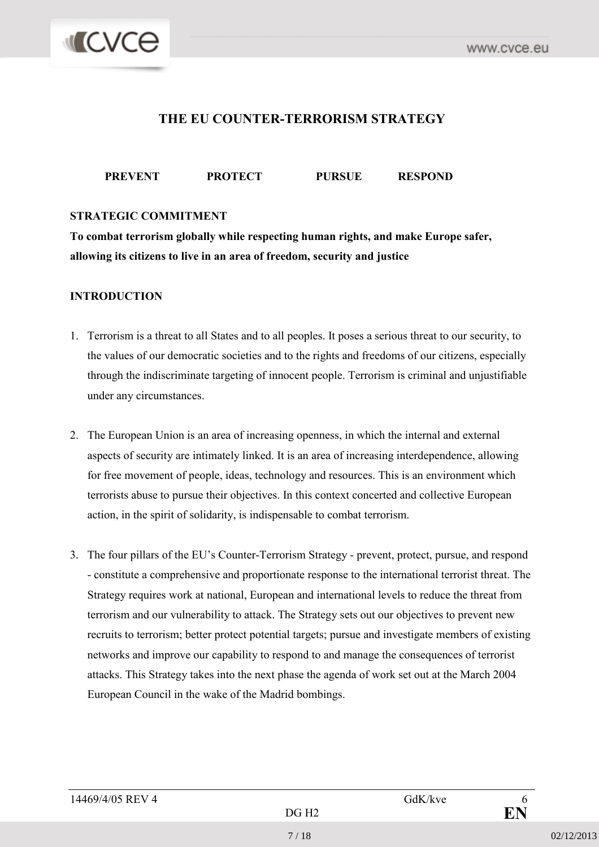

#### THE EU COUNTER-TERRORISM STRATEGY

#### PREVENT PROTECT PURSUE RESPOND

#### STRATEGIC COMMITMENT

To combat terrorism globally while respecting human rights, and make Europe safer, allowing its citizens to live in an area of freedom, security and justice

#### INTRODUCTION

- 1. Terrorism is a threat to all States and to all peoples. It poses a serious threat to our security, to the values of our democratic societies and to the rights and freedoms of our citizens, especially through the indiscriminate targeting of innocent people. Terrorism is criminal and unjustifiable under any circumstances.
- 2. The European Union is an area of increasing openness, in which the internal and external aspects of security are intimately linked. It is an area of increasing interdependence, allowing for free movement of people, ideas, technology and resources. This is an environment which terrorists abuse to pursue their objectives. In this context concerted and collective European action, in the spirit of solidarity, is indispensable to combat terrorism.
- 3. The four pillars of the EU's Counter-Terrorism Strategy prevent, protect, pursue, and respond - constitute a comprehensive and proportionate response to the international terrorist threat. The Strategy requires work at national, European and international levels to reduce the threat from terrorism and our vulnerability to attack. The Strategy sets out our objectives to prevent new recruits to terrorism; better protect potential targets; pursue and investigate members of existing networks and improve our capability to respond to and manage the consequences of terrorist attacks. This Strategy takes into the next phase the agenda of work set out at the March 2004 European Council in the wake of the Madrid bombings.

| 14469/4/05 REV 4 | GdK/kve |  |
|------------------|---------|--|
|------------------|---------|--|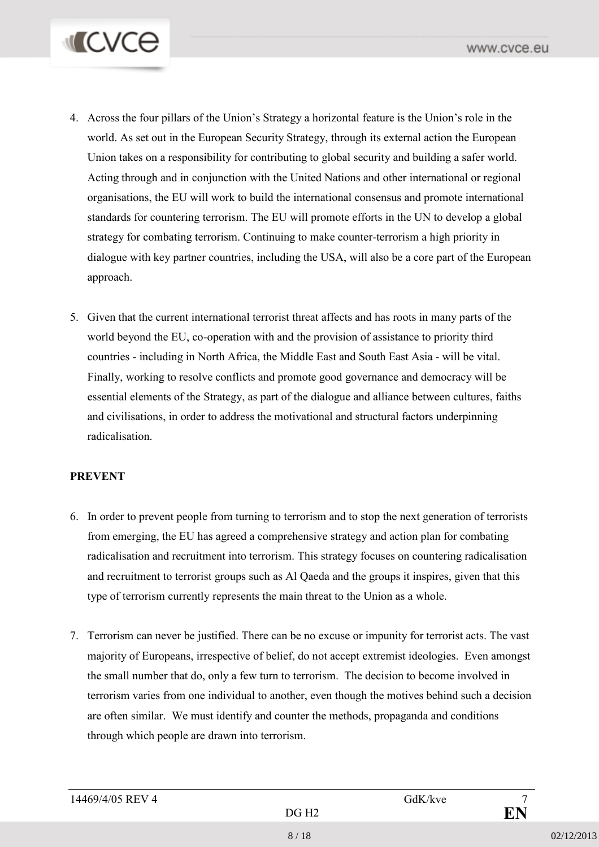

- 4. Across the four pillars of the Union's Strategy a horizontal feature is the Union's role in the world. As set out in the European Security Strategy, through its external action the European Union takes on a responsibility for contributing to global security and building a safer world. Acting through and in conjunction with the United Nations and other international or regional organisations, the EU will work to build the international consensus and promote international standards for countering terrorism. The EU will promote efforts in the UN to develop a global strategy for combating terrorism. Continuing to make counter-terrorism a high priority in dialogue with key partner countries, including the USA, will also be a core part of the European approach.
- 5. Given that the current international terrorist threat affects and has roots in many parts of the world beyond the EU, co-operation with and the provision of assistance to priority third countries - including in North Africa, the Middle East and South East Asia - will be vital. Finally, working to resolve conflicts and promote good governance and democracy will be essential elements of the Strategy, as part of the dialogue and alliance between cultures, faiths and civilisations, in order to address the motivational and structural factors underpinning radicalisation.

#### PREVENT

- 6. In order to prevent people from turning to terrorism and to stop the next generation of terrorists from emerging, the EU has agreed a comprehensive strategy and action plan for combating radicalisation and recruitment into terrorism. This strategy focuses on countering radicalisation and recruitment to terrorist groups such as Al Qaeda and the groups it inspires, given that this type of terrorism currently represents the main threat to the Union as a whole.
- 7. Terrorism can never be justified. There can be no excuse or impunity for terrorist acts. The vast majority of Europeans, irrespective of belief, do not accept extremist ideologies. Even amongst the small number that do, only a few turn to terrorism. The decision to become involved in terrorism varies from one individual to another, even though the motives behind such a decision are often similar. We must identify and counter the methods, propaganda and conditions through which people are drawn into terrorism.

| 14469/4/05 REV 4 | GdK/kve |  |
|------------------|---------|--|
|------------------|---------|--|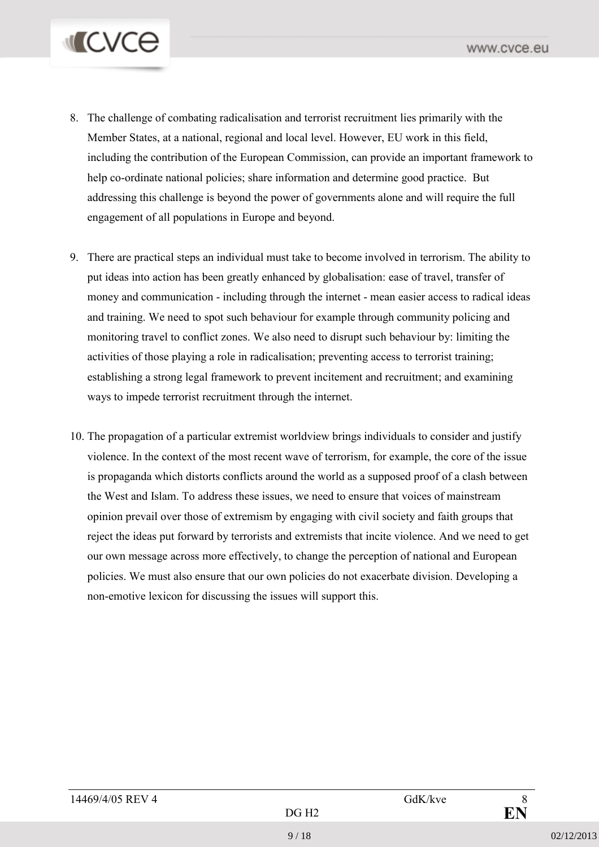# **MICVCO**

- 8. The challenge of combating radicalisation and terrorist recruitment lies primarily with the Member States, at a national, regional and local level. However, EU work in this field, including the contribution of the European Commission, can provide an important framework to help co-ordinate national policies; share information and determine good practice. But addressing this challenge is beyond the power of governments alone and will require the full engagement of all populations in Europe and beyond.
- 9. There are practical steps an individual must take to become involved in terrorism. The ability to put ideas into action has been greatly enhanced by globalisation: ease of travel, transfer of money and communication - including through the internet - mean easier access to radical ideas and training. We need to spot such behaviour for example through community policing and monitoring travel to conflict zones. We also need to disrupt such behaviour by: limiting the activities of those playing a role in radicalisation; preventing access to terrorist training; establishing a strong legal framework to prevent incitement and recruitment; and examining ways to impede terrorist recruitment through the internet.
- 10. The propagation of a particular extremist worldview brings individuals to consider and justify violence. In the context of the most recent wave of terrorism, for example, the core of the issue is propaganda which distorts conflicts around the world as a supposed proof of a clash between the West and Islam. To address these issues, we need to ensure that voices of mainstream opinion prevail over those of extremism by engaging with civil society and faith groups that reject the ideas put forward by terrorists and extremists that incite violence. And we need to get our own message across more effectively, to change the perception of national and European policies. We must also ensure that our own policies do not exacerbate division. Developing a non-emotive lexicon for discussing the issues will support this.

| 14469/4/05 REV 4 |       | GdK/kve | O<br>Ο |
|------------------|-------|---------|--------|
|                  | רם הח |         | м      |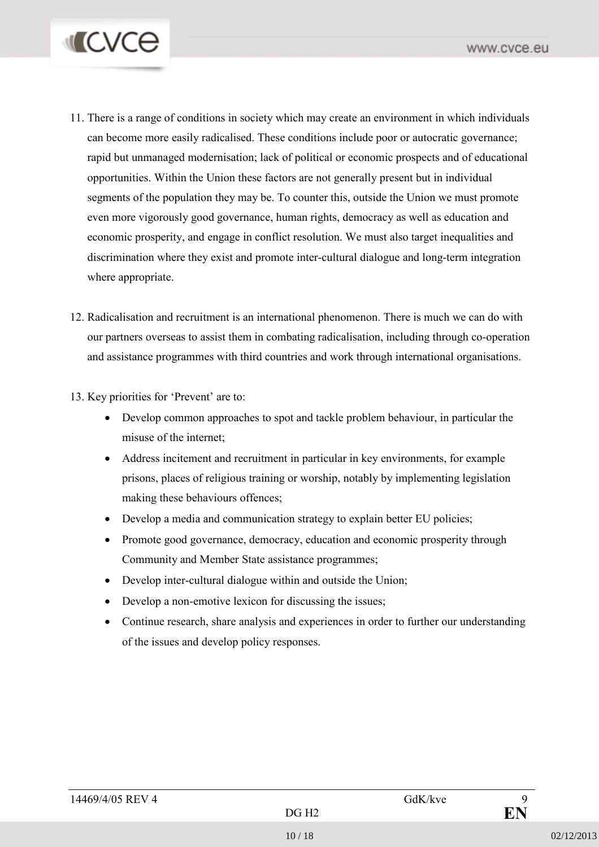

- 11. There is a range of conditions in society which may create an environment in which individuals can become more easily radicalised. These conditions include poor or autocratic governance; rapid but unmanaged modernisation; lack of political or economic prospects and of educational opportunities. Within the Union these factors are not generally present but in individual segments of the population they may be. To counter this, outside the Union we must promote even more vigorously good governance, human rights, democracy as well as education and economic prosperity, and engage in conflict resolution. We must also target inequalities and discrimination where they exist and promote inter-cultural dialogue and long-term integration where appropriate.
- 12. Radicalisation and recruitment is an international phenomenon. There is much we can do with our partners overseas to assist them in combating radicalisation, including through co-operation and assistance programmes with third countries and work through international organisations.

#### 13. Key priorities for 'Prevent' are to:

- Develop common approaches to spot and tackle problem behaviour, in particular the misuse of the internet;
- Address incitement and recruitment in particular in key environments, for example prisons, places of religious training or worship, notably by implementing legislation making these behaviours offences;
- Develop a media and communication strategy to explain better EU policies;
- Promote good governance, democracy, education and economic prosperity through Community and Member State assistance programmes;
- Develop inter-cultural dialogue within and outside the Union;
- Develop a non-emotive lexicon for discussing the issues;
- Continue research, share analysis and experiences in order to further our understanding of the issues and develop policy responses.

| 14469/4/05 REV 4 |                   | GdK/kve |  |
|------------------|-------------------|---------|--|
|                  | DG H <sub>2</sub> |         |  |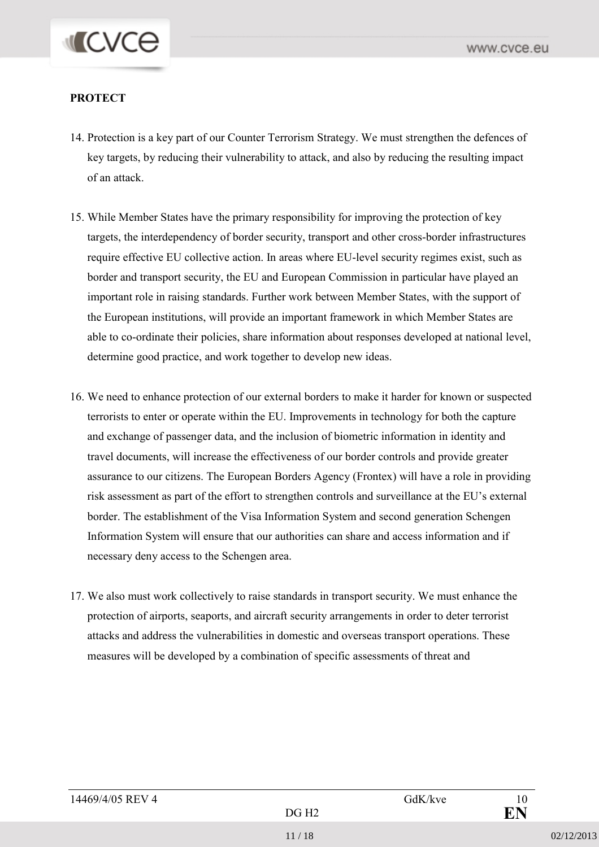# **MICVCO**

#### **PROTECT**

- 14. Protection is a key part of our Counter Terrorism Strategy. We must strengthen the defences of key targets, by reducing their vulnerability to attack, and also by reducing the resulting impact of an attack.
- 15. While Member States have the primary responsibility for improving the protection of key targets, the interdependency of border security, transport and other cross-border infrastructures require effective EU collective action. In areas where EU-level security regimes exist, such as border and transport security, the EU and European Commission in particular have played an important role in raising standards. Further work between Member States, with the support of the European institutions, will provide an important framework in which Member States are able to co-ordinate their policies, share information about responses developed at national level, determine good practice, and work together to develop new ideas.
- 16. We need to enhance protection of our external borders to make it harder for known or suspected terrorists to enter or operate within the EU. Improvements in technology for both the capture and exchange of passenger data, and the inclusion of biometric information in identity and travel documents, will increase the effectiveness of our border controls and provide greater assurance to our citizens. The European Borders Agency (Frontex) will have a role in providing risk assessment as part of the effort to strengthen controls and surveillance at the EU's external border. The establishment of the Visa Information System and second generation Schengen Information System will ensure that our authorities can share and access information and if necessary deny access to the Schengen area.
- 17. We also must work collectively to raise standards in transport security. We must enhance the protection of airports, seaports, and aircraft security arrangements in order to deter terrorist attacks and address the vulnerabilities in domestic and overseas transport operations. These measures will be developed by a combination of specific assessments of threat and

| 14469/4/05 REV 4 |       | GdK/kve | 10 |
|------------------|-------|---------|----|
|                  | DG H2 |         | ПN |
|                  |       |         |    |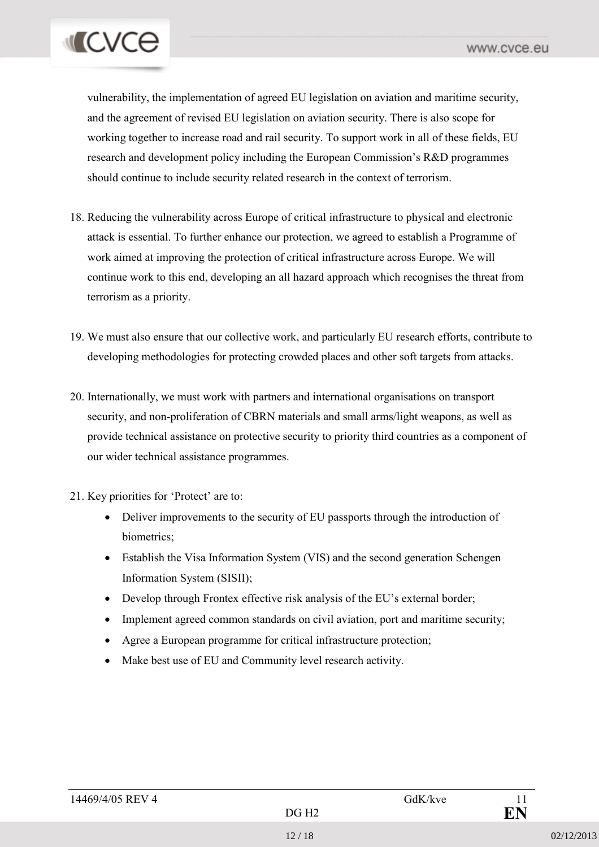# **I** CVCE

vulnerability, the implementation of agreed EU legislation on aviation and maritime security, and the agreement of revised EU legislation on aviation security. There is also scope for working together to increase road and rail security. To support work in all of these fields, EU research and development policy including the European Commission's R&D programmes should continue to include security related research in the context of terrorism.

- 18. Reducing the vulnerability across Europe of critical infrastructure to physical and electronic attack is essential. To further enhance our protection, we agreed to establish a Programme of work aimed at improving the protection of critical infrastructure across Europe. We will continue work to this end, developing an all hazard approach which recognises the threat from terrorism as a priority.
- 19. We must also ensure that our collective work, and particularly EU research efforts, contribute to developing methodologies for protecting crowded places and other soft targets from attacks.
- 20. Internationally, we must work with partners and international organisations on transport security, and non-proliferation of CBRN materials and small arms/light weapons, as well as provide technical assistance on protective security to priority third countries as a component of our wider technical assistance programmes.
- 21. Key priorities for 'Protect' are to:
	- Deliver improvements to the security of EU passports through the introduction of biometrics;
	- Establish the Visa Information System (VIS) and the second generation Schengen Information System (SISII);
	- Develop through Frontex effective risk analysis of the EU's external border;
	- Implement agreed common standards on civil aviation, port and maritime security;
	- Agree a European programme for critical infrastructure protection;
	- Make best use of EU and Community level research activity.

| 14469/4/05 REV 4 |                   | GdK/kve | 1 I       |
|------------------|-------------------|---------|-----------|
|                  | DG H <sub>2</sub> |         | <b>EN</b> |
|                  |                   |         |           |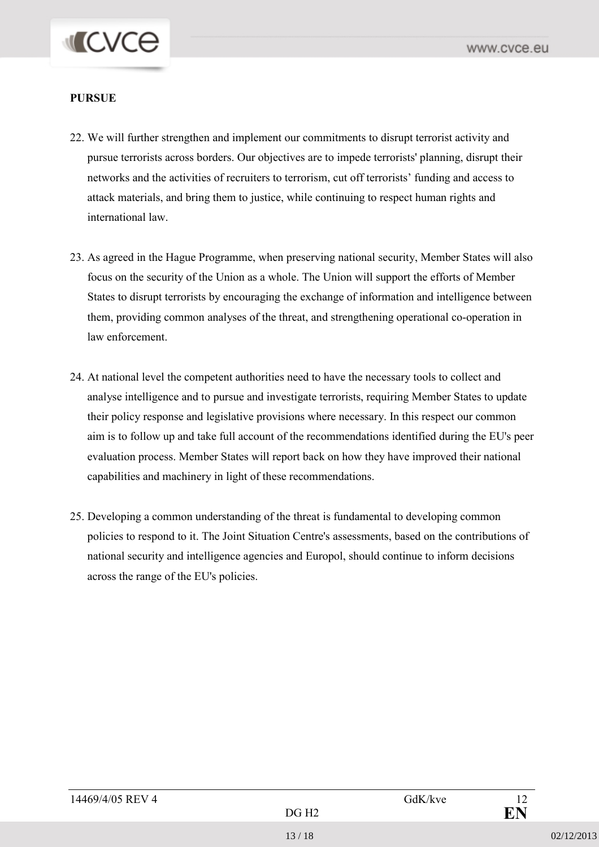# **I** CVCE

#### PURSUE

- 22. We will further strengthen and implement our commitments to disrupt terrorist activity and pursue terrorists across borders. Our objectives are to impede terrorists' planning, disrupt their networks and the activities of recruiters to terrorism, cut off terrorists' funding and access to attack materials, and bring them to justice, while continuing to respect human rights and international law.
- 23. As agreed in the Hague Programme, when preserving national security, Member States will also focus on the security of the Union as a whole. The Union will support the efforts of Member States to disrupt terrorists by encouraging the exchange of information and intelligence between them, providing common analyses of the threat, and strengthening operational co-operation in law enforcement.
- 24. At national level the competent authorities need to have the necessary tools to collect and analyse intelligence and to pursue and investigate terrorists, requiring Member States to update their policy response and legislative provisions where necessary. In this respect our common aim is to follow up and take full account of the recommendations identified during the EU's peer evaluation process. Member States will report back on how they have improved their national capabilities and machinery in light of these recommendations.
- 25. Developing a common understanding of the threat is fundamental to developing common policies to respond to it. The Joint Situation Centre's assessments, based on the contributions of national security and intelligence agencies and Europol, should continue to inform decisions across the range of the EU's policies.

| 14469/4/05 REV 4 |                   | GdK/kve | 12 |
|------------------|-------------------|---------|----|
|                  | DG H <sub>2</sub> |         | EN |
|                  |                   |         |    |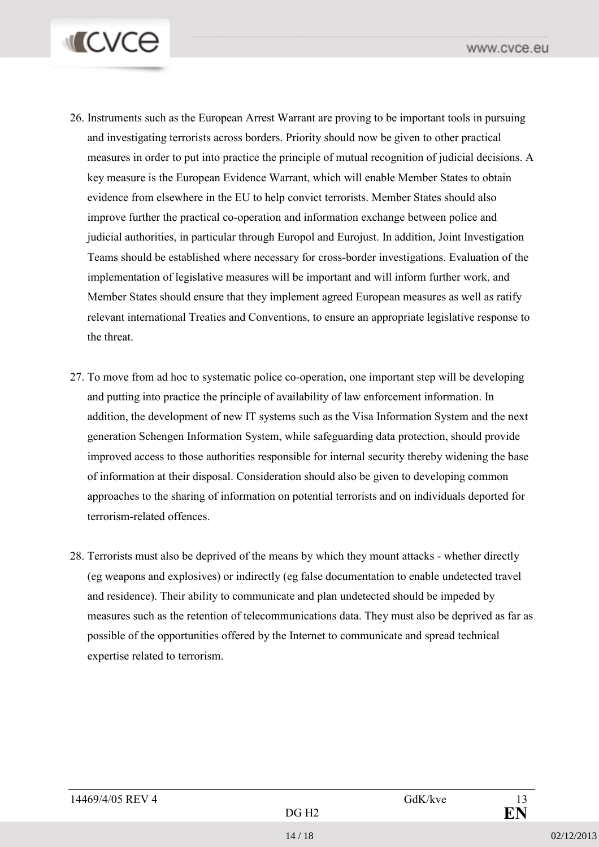

- 26. Instruments such as the European Arrest Warrant are proving to be important tools in pursuing and investigating terrorists across borders. Priority should now be given to other practical measures in order to put into practice the principle of mutual recognition of judicial decisions. A key measure is the European Evidence Warrant, which will enable Member States to obtain evidence from elsewhere in the EU to help convict terrorists. Member States should also improve further the practical co-operation and information exchange between police and judicial authorities, in particular through Europol and Eurojust. In addition, Joint Investigation Teams should be established where necessary for cross-border investigations. Evaluation of the implementation of legislative measures will be important and will inform further work, and Member States should ensure that they implement agreed European measures as well as ratify relevant international Treaties and Conventions, to ensure an appropriate legislative response to the threat.
- 27. To move from ad hoc to systematic police co-operation, one important step will be developing and putting into practice the principle of availability of law enforcement information. In addition, the development of new IT systems such as the Visa Information System and the next generation Schengen Information System, while safeguarding data protection, should provide improved access to those authorities responsible for internal security thereby widening the base of information at their disposal. Consideration should also be given to developing common approaches to the sharing of information on potential terrorists and on individuals deported for terrorism-related offences.
- 28. Terrorists must also be deprived of the means by which they mount attacks whether directly (eg weapons and explosives) or indirectly (eg false documentation to enable undetected travel and residence). Their ability to communicate and plan undetected should be impeded by measures such as the retention of telecommunications data. They must also be deprived as far as possible of the opportunities offered by the Internet to communicate and spread technical expertise related to terrorism.

| 14469/4/05 REV 4<br>GdK/kve | 13 <sub>1</sub> |
|-----------------------------|-----------------|
| DG H2                       | ГN              |
|                             |                 |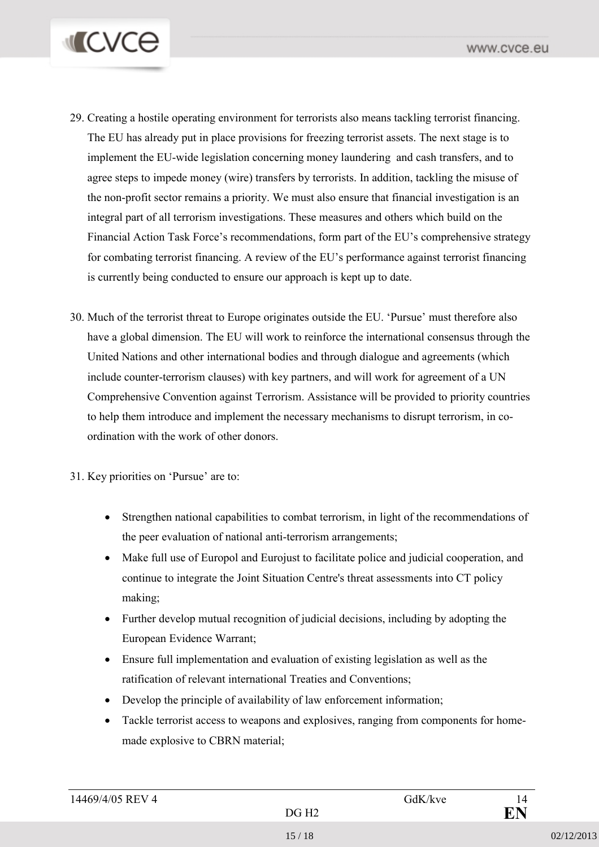

- 29. Creating a hostile operating environment for terrorists also means tackling terrorist financing. The EU has already put in place provisions for freezing terrorist assets. The next stage is to implement the EU-wide legislation concerning money laundering and cash transfers, and to agree steps to impede money (wire) transfers by terrorists. In addition, tackling the misuse of the non-profit sector remains a priority. We must also ensure that financial investigation is an integral part of all terrorism investigations. These measures and others which build on the Financial Action Task Force's recommendations, form part of the EU's comprehensive strategy for combating terrorist financing. A review of the EU's performance against terrorist financing is currently being conducted to ensure our approach is kept up to date.
- 30. Much of the terrorist threat to Europe originates outside the EU. 'Pursue' must therefore also have a global dimension. The EU will work to reinforce the international consensus through the United Nations and other international bodies and through dialogue and agreements (which include counter-terrorism clauses) with key partners, and will work for agreement of a UN Comprehensive Convention against Terrorism. Assistance will be provided to priority countries to help them introduce and implement the necessary mechanisms to disrupt terrorism, in coordination with the work of other donors.
- 31. Key priorities on 'Pursue' are to:
	- Strengthen national capabilities to combat terrorism, in light of the recommendations of the peer evaluation of national anti-terrorism arrangements;
	- Make full use of Europol and Eurojust to facilitate police and judicial cooperation, and continue to integrate the Joint Situation Centre's threat assessments into CT policy making;
	- Further develop mutual recognition of judicial decisions, including by adopting the European Evidence Warrant;
	- Ensure full implementation and evaluation of existing legislation as well as the ratification of relevant international Treaties and Conventions;
	- Develop the principle of availability of law enforcement information;
	- Tackle terrorist access to weapons and explosives, ranging from components for homemade explosive to CBRN material;

| 14469/4/05 REV 4 |       | GdK/kve | 14        |
|------------------|-------|---------|-----------|
|                  | DG H2 |         | <b>FN</b> |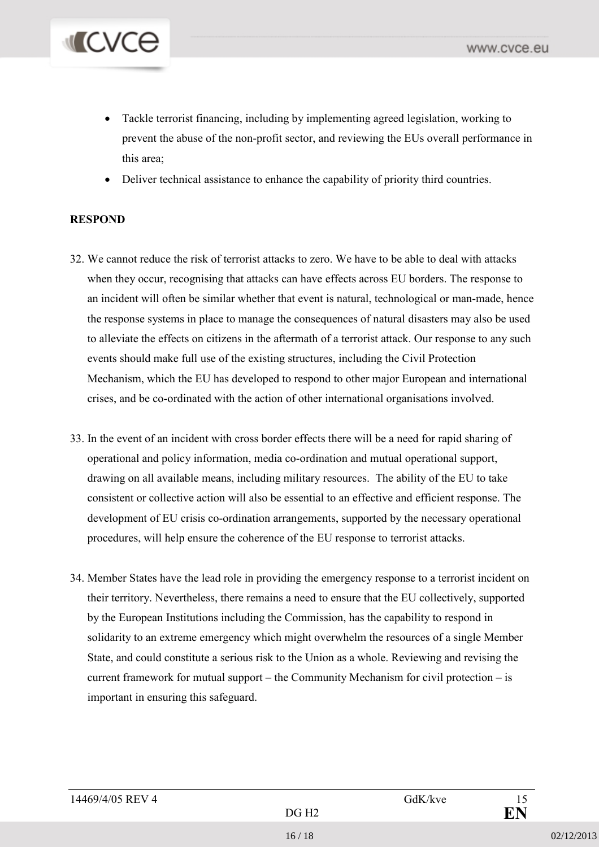

- Tackle terrorist financing, including by implementing agreed legislation, working to prevent the abuse of the non-profit sector, and reviewing the EUs overall performance in this area;
- Deliver technical assistance to enhance the capability of priority third countries.

#### **RESPOND**

- 32. We cannot reduce the risk of terrorist attacks to zero. We have to be able to deal with attacks when they occur, recognising that attacks can have effects across EU borders. The response to an incident will often be similar whether that event is natural, technological or man-made, hence the response systems in place to manage the consequences of natural disasters may also be used to alleviate the effects on citizens in the aftermath of a terrorist attack. Our response to any such events should make full use of the existing structures, including the Civil Protection Mechanism, which the EU has developed to respond to other major European and international crises, and be co-ordinated with the action of other international organisations involved.
- 33. In the event of an incident with cross border effects there will be a need for rapid sharing of operational and policy information, media co-ordination and mutual operational support, drawing on all available means, including military resources. The ability of the EU to take consistent or collective action will also be essential to an effective and efficient response. The development of EU crisis co-ordination arrangements, supported by the necessary operational procedures, will help ensure the coherence of the EU response to terrorist attacks.
- 34. Member States have the lead role in providing the emergency response to a terrorist incident on their territory. Nevertheless, there remains a need to ensure that the EU collectively, supported by the European Institutions including the Commission, has the capability to respond in solidarity to an extreme emergency which might overwhelm the resources of a single Member State, and could constitute a serious risk to the Union as a whole. Reviewing and revising the current framework for mutual support – the Community Mechanism for civil protection – is important in ensuring this safeguard.

| 14469/4/05 REV 4 | GdK/kve |  |
|------------------|---------|--|
|------------------|---------|--|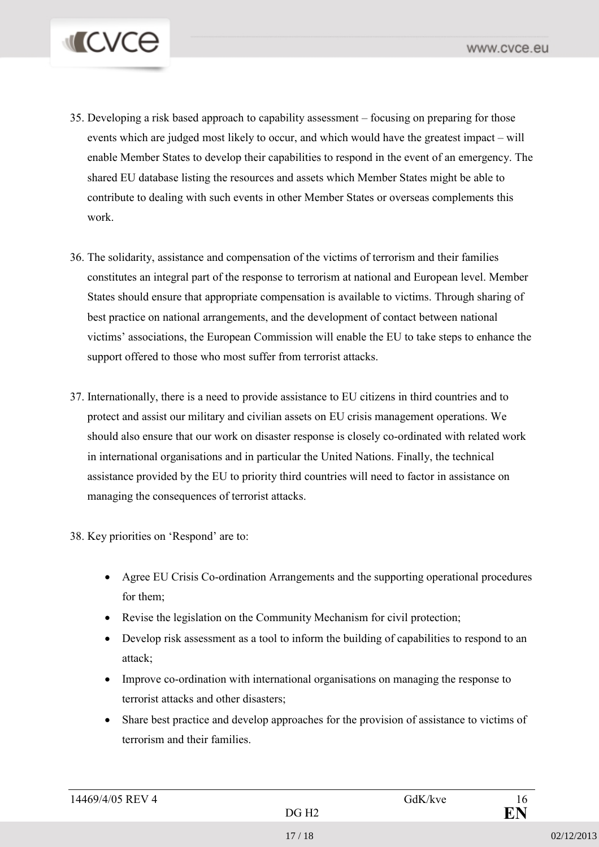

- 35. Developing a risk based approach to capability assessment focusing on preparing for those events which are judged most likely to occur, and which would have the greatest impact – will enable Member States to develop their capabilities to respond in the event of an emergency. The shared EU database listing the resources and assets which Member States might be able to contribute to dealing with such events in other Member States or overseas complements this work.
- 36. The solidarity, assistance and compensation of the victims of terrorism and their families constitutes an integral part of the response to terrorism at national and European level. Member States should ensure that appropriate compensation is available to victims. Through sharing of best practice on national arrangements, and the development of contact between national victims' associations, the European Commission will enable the EU to take steps to enhance the support offered to those who most suffer from terrorist attacks.
- 37. Internationally, there is a need to provide assistance to EU citizens in third countries and to protect and assist our military and civilian assets on EU crisis management operations. We should also ensure that our work on disaster response is closely co-ordinated with related work in international organisations and in particular the United Nations. Finally, the technical assistance provided by the EU to priority third countries will need to factor in assistance on managing the consequences of terrorist attacks.

38. Key priorities on 'Respond' are to:

- Agree EU Crisis Co-ordination Arrangements and the supporting operational procedures for them;
- Revise the legislation on the Community Mechanism for civil protection;
- Develop risk assessment as a tool to inform the building of capabilities to respond to an attack;
- Improve co-ordination with international organisations on managing the response to terrorist attacks and other disasters;
- Share best practice and develop approaches for the provision of assistance to victims of terrorism and their families.

| 14469/4/05 REV 4 |    | GdK/kve | 10      |
|------------------|----|---------|---------|
|                  | ΔC |         | ГN<br>ш |